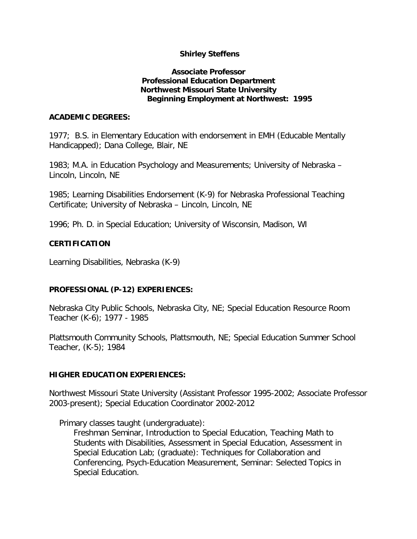### **Shirley Steffens**

#### **Associate Professor Professional Education Department Northwest Missouri State University Beginning Employment at Northwest: 1995**

#### **ACADEMIC DEGREES:**

1977; B.S. in Elementary Education with endorsement in EMH (Educable Mentally Handicapped); Dana College, Blair, NE

1983; M.A. in Education Psychology and Measurements; University of Nebraska – Lincoln, Lincoln, NE

1985; Learning Disabilities Endorsement (K-9) for Nebraska Professional Teaching Certificate; University of Nebraska – Lincoln, Lincoln, NE

1996; Ph. D. in Special Education; University of Wisconsin, Madison, WI

### **CERTIFICATION**

Learning Disabilities, Nebraska (K-9)

### **PROFESSIONAL (P-12) EXPERIENCES:**

Nebraska City Public Schools, Nebraska City, NE; Special Education Resource Room Teacher (K-6); 1977 - 1985

Plattsmouth Community Schools, Plattsmouth, NE; Special Education Summer School Teacher, (K-5); 1984

### **HIGHER EDUCATION EXPERIENCES:**

Northwest Missouri State University (Assistant Professor 1995-2002; Associate Professor 2003-present); Special Education Coordinator 2002-2012

Primary classes taught (undergraduate):

Freshman Seminar, Introduction to Special Education, Teaching Math to Students with Disabilities, Assessment in Special Education, Assessment in Special Education Lab; (graduate): Techniques for Collaboration and Conferencing, Psych-Education Measurement, Seminar: Selected Topics in Special Education.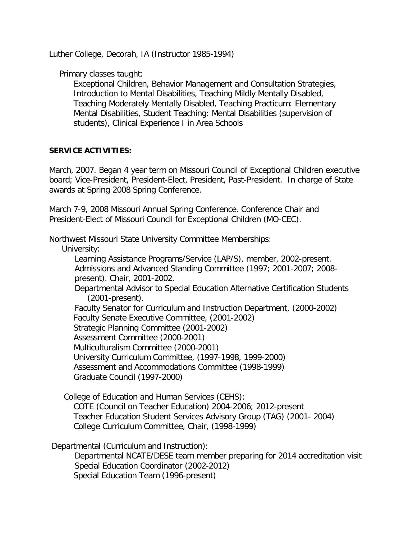Luther College, Decorah, IA (Instructor 1985-1994)

Primary classes taught:

Exceptional Children, Behavior Management and Consultation Strategies, Introduction to Mental Disabilities, Teaching Mildly Mentally Disabled, Teaching Moderately Mentally Disabled, Teaching Practicum: Elementary Mental Disabilities, Student Teaching: Mental Disabilities (supervision of students), Clinical Experience I in Area Schools

### **SERVICE ACTIVITIES:**

March, 2007. Began 4 year term on Missouri Council of Exceptional Children executive board; Vice-President, President-Elect, President, Past-President. In charge of State awards at Spring 2008 Spring Conference.

March 7-9, 2008 Missouri Annual Spring Conference. Conference Chair and President-Elect of Missouri Council for Exceptional Children (MO-CEC).

Northwest Missouri State University Committee Memberships:

University:

 Learning Assistance Programs/Service (LAP/S), member, 2002-present. Admissions and Advanced Standing Committee (1997; 2001-2007; 2008 present). Chair, 2001-2002.

 Departmental Advisor to Special Education Alternative Certification Students (2001-present).

 Faculty Senator for Curriculum and Instruction Department, (2000-2002) Faculty Senate Executive Committee, (2001-2002) Strategic Planning Committee (2001-2002) Assessment Committee (2000-2001) Multiculturalism Committee (2000-2001) University Curriculum Committee, (1997-1998, 1999-2000) Assessment and Accommodations Committee (1998-1999) Graduate Council (1997-2000)

College of Education and Human Services (CEHS): COTE (Council on Teacher Education) 2004-2006; 2012-present Teacher Education Student Services Advisory Group (TAG) (2001- 2004) College Curriculum Committee, Chair, (1998-1999)

Departmental (Curriculum and Instruction):

 Departmental NCATE/DESE team member preparing for 2014 accreditation visit Special Education Coordinator (2002-2012) Special Education Team (1996-present)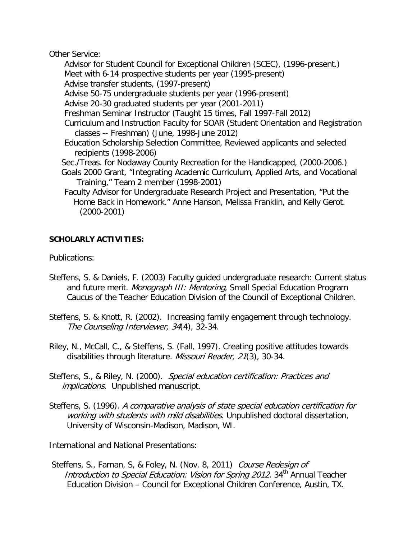Other Service:

 Advisor for Student Council for Exceptional Children (SCEC), (1996-present.) Meet with 6-14 prospective students per year (1995-present) Advise transfer students, (1997-present)

Advise 50-75 undergraduate students per year (1996-present)

Advise 20-30 graduated students per year (2001-2011)

Freshman Seminar Instructor (Taught 15 times, Fall 1997-Fall 2012)

- Curriculum and Instruction Faculty for SOAR (Student Orientation and Registration classes -- Freshman) (June, 1998-June 2012)
- Education Scholarship Selection Committee, Reviewed applicants and selected recipients (1998-2006)
- Sec./Treas. for Nodaway County Recreation for the Handicapped, (2000-2006.)
- Goals 2000 Grant, "Integrating Academic Curriculum, Applied Arts, and Vocational Training," Team 2 member (1998-2001)
- Faculty Advisor for Undergraduate Research Project and Presentation, "Put the Home Back in Homework." Anne Hanson, Melissa Franklin, and Kelly Gerot. (2000-2001)

# **SCHOLARLY ACTIVITIES:**

Publications:

- Steffens, S. & Daniels, F. (2003) Faculty guided undergraduate research: Current status and future merit. Monograph III: Mentoring, Small Special Education Program Caucus of the Teacher Education Division of the Council of Exceptional Children.
- Steffens, S. & Knott, R. (2002). Increasing family engagement through technology. The Counseling Interviewer, 34(4), 32-34.
- Riley, N., McCall, C., & Steffens, S. (Fall, 1997). Creating positive attitudes towards disabilities through literature. Missouri Reader, 21(3), 30-34.
- Steffens, S., & Riley, N. (2000). Special education certification: Practices and implications. Unpublished manuscript.
- Steffens, S. (1996). A comparative analysis of state special education certification for working with students with mild disabilities. Unpublished doctoral dissertation, University of Wisconsin-Madison, Madison, WI.

International and National Presentations:

Steffens, S., Farnan, S. & Foley, N. (Nov. 8, 2011) Course Redesign of Introduction to Special Education: Vision for Spring 2012. 34<sup>th</sup> Annual Teacher Education Division – Council for Exceptional Children Conference, Austin, TX.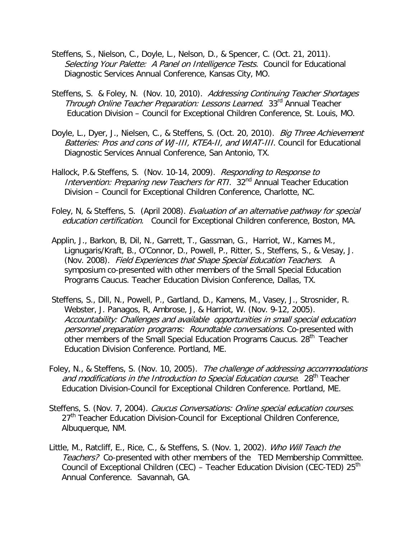- Steffens, S., Nielson, C., Doyle, L., Nelson, D., & Spencer, C. (Oct. 21, 2011). Selecting Your Palette: A Panel on Intelligence Tests. Council for Educational Diagnostic Services Annual Conference, Kansas City, MO.
- Steffens, S. & Foley, N. (Nov. 10, 2010). Addressing Continuing Teacher Shortages Through Online Teacher Preparation: Lessons Learned. 33<sup>rd</sup> Annual Teacher Education Division – Council for Exceptional Children Conference, St. Louis, MO.
- Doyle, L., Dyer, J., Nielsen, C., & Steffens, S. (Oct. 20, 2010). Big Three Achievement Batteries: Pros and cons of WJ-III, KTEA-II, and WIAT-III. Council for Educational Diagnostic Services Annual Conference, San Antonio, TX.
- Hallock, P.& Steffens, S. (Nov. 10-14, 2009). Responding to Response to Intervention: Preparing new Teachers for RTI. 32<sup>nd</sup> Annual Teacher Education Division – Council for Exceptional Children Conference, Charlotte, NC.
- Foley, N, & Steffens, S. (April 2008). Evaluation of an alternative pathway for special education certification. Council for Exceptional Children conference, Boston, MA.
- Applin, J., Barkon, B, Dil, N., Garrett, T., Gassman, G., Harriot, W., Kames M., Lignugaris/Kraft, B., O'Connor, D., Powell, P., Ritter, S., Steffens, S., & Vesay, J. (Nov. 2008). Field Experiences that Shape Special Education Teachers. A symposium co-presented with other members of the Small Special Education Programs Caucus. Teacher Education Division Conference, Dallas, TX.
- Steffens, S., Dill, N., Powell, P., Gartland, D., Kamens, M., Vasey, J., Strosnider, R. Webster, J. Panagos, R, Ambrose, J, & Harriot, W. (Nov. 9-12, 2005). Accountability: Challenges and available opportunities in small special education personnel preparation programs: Roundtable conversations. Co-presented with other members of the Small Special Education Programs Caucus. 28<sup>th</sup> Teacher Education Division Conference. Portland, ME.
- Foley, N., & Steffens, S. (Nov. 10, 2005). The challenge of addressing accommodations and modifications in the Introduction to Special Education course.  $28<sup>th</sup>$  Teacher Education Division-Council for Exceptional Children Conference. Portland, ME.
- Steffens, S. (Nov. 7, 2004). Caucus Conversations: Online special education courses. 27<sup>th</sup> Teacher Education Division-Council for Exceptional Children Conference, Albuquerque, NM.
- Little, M., Ratcliff, E., Rice, C., & Steffens, S. (Nov. 1, 2002). Who Will Teach the Teachers? Co-presented with other members of the TED Membership Committee. Council of Exceptional Children (CEC) – Teacher Education Division (CEC-TED) 25<sup>th</sup> Annual Conference. Savannah, GA.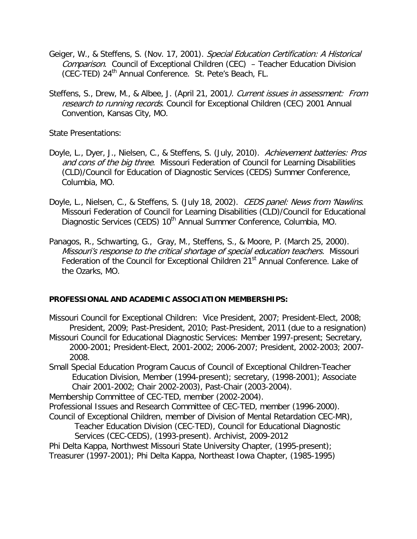- Geiger, W., & Steffens, S. (Nov. 17, 2001). Special Education Certification: A Historical Comparison. Council of Exceptional Children (CEC) - Teacher Education Division (CEC-TED) 24<sup>th</sup> Annual Conference. St. Pete's Beach, FL.
- Steffens, S., Drew, M., & Albee, J. (April 21, 2001). Current issues in assessment: From research to running records. Council for Exceptional Children (CEC) 2001 Annual Convention, Kansas City, MO.

State Presentations:

- Doyle, L., Dyer, J., Nielsen, C., & Steffens, S. (July, 2010). Achievement batteries: Pros and cons of the big three. Missouri Federation of Council for Learning Disabilities (CLD)/Council for Education of Diagnostic Services (CEDS) Summer Conference, Columbia, MO.
- Doyle, L., Nielsen, C., & Steffens, S. (July 18, 2002). CEDS panel: News from 'Nawlins. Missouri Federation of Council for Learning Disabilities (CLD)/Council for Educational Diagnostic Services (CEDS) 10<sup>th</sup> Annual Summer Conference, Columbia, MO.
- Panagos, R., Schwarting, G., Gray, M., Steffens, S., & Moore, P. (March 25, 2000). Missouri's response to the critical shortage of special education teachers. Missouri Federation of the Council for Exceptional Children 21<sup>st</sup> Annual Conference. Lake of the Ozarks, MO.

### **PROFESSIONAL AND ACADEMIC ASSOCIATION MEMBERSHIPS:**

- Missouri Council for Exceptional Children: Vice President, 2007; President-Elect, 2008; President, 2009; Past-President, 2010; Past-President, 2011 (due to a resignation)
- Missouri Council for Educational Diagnostic Services: Member 1997-present; Secretary, 2000-2001; President-Elect, 2001-2002; 2006-2007; President, 2002-2003; 2007- 2008.
- Small Special Education Program Caucus of Council of Exceptional Children-Teacher Education Division, Member (1994-present); secretary, (1998-2001); Associate Chair 2001-2002; Chair 2002-2003), Past-Chair (2003-2004).

Membership Committee of CEC-TED, member (2002-2004).

- Professional Issues and Research Committee of CEC-TED, member (1996-2000).
- Council of Exceptional Children, member of Division of Mental Retardation CEC-MR),
	- Teacher Education Division (CEC-TED), Council for Educational Diagnostic Services (CEC-CEDS), (1993-present). Archivist, 2009-2012
- Phi Delta Kappa, Northwest Missouri State University Chapter, (1995-present); Treasurer (1997-2001); Phi Delta Kappa, Northeast Iowa Chapter, (1985-1995)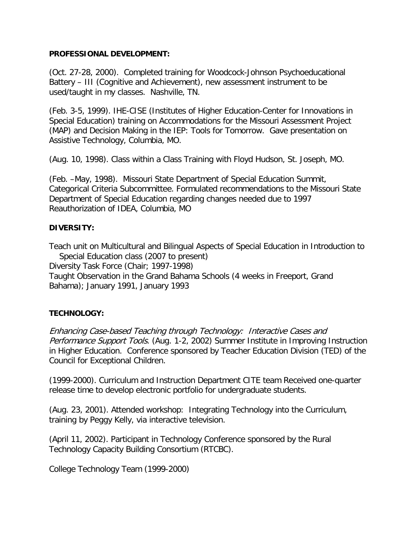#### **PROFESSIONAL DEVELOPMENT:**

(Oct. 27-28, 2000). Completed training for Woodcock-Johnson Psychoeducational Battery – III (Cognitive and Achievement), new assessment instrument to be used/taught in my classes. Nashville, TN.

(Feb. 3-5, 1999). IHE-CISE (Institutes of Higher Education-Center for Innovations in Special Education) training on Accommodations for the Missouri Assessment Project (MAP) and Decision Making in the IEP: Tools for Tomorrow. Gave presentation on Assistive Technology, Columbia, MO.

(Aug. 10, 1998). Class within a Class Training with Floyd Hudson, St. Joseph, MO.

(Feb. –May, 1998). Missouri State Department of Special Education Summit, Categorical Criteria Subcommittee. Formulated recommendations to the Missouri State Department of Special Education regarding changes needed due to 1997 Reauthorization of IDEA, Columbia, MO

# **DIVERSITY:**

Teach unit on Multicultural and Bilingual Aspects of Special Education in Introduction to Special Education class (2007 to present) Diversity Task Force (Chair; 1997-1998) Taught Observation in the Grand Bahama Schools (4 weeks in Freeport, Grand Bahama); January 1991, January 1993

### **TECHNOLOGY:**

Enhancing Case-based Teaching through Technology: Interactive Cases and Performance Support Tools. (Aug. 1-2, 2002) Summer Institute in Improving Instruction in Higher Education. Conference sponsored by Teacher Education Division (TED) of the Council for Exceptional Children.

(1999-2000). Curriculum and Instruction Department CITE team Received one-quarter release time to develop electronic portfolio for undergraduate students.

(Aug. 23, 2001). Attended workshop: Integrating Technology into the Curriculum, training by Peggy Kelly, via interactive television.

(April 11, 2002). Participant in Technology Conference sponsored by the Rural Technology Capacity Building Consortium (RTCBC).

College Technology Team (1999-2000)